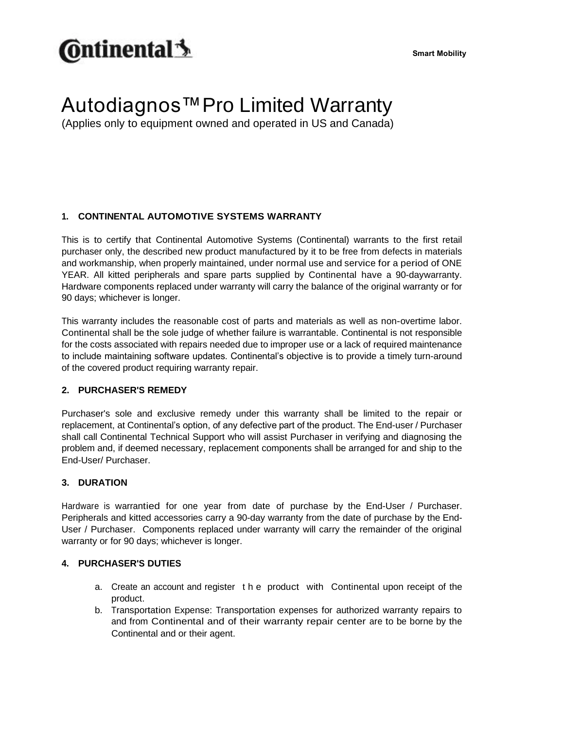# **C**ntinental 5

**Smart Mobility**

### Autodiagnos™Pro Limited Warranty

(Applies only to equipment owned and operated in US and Canada)

#### **1. CONTINENTAL AUTOMOTIVE SYSTEMS WARRANTY**

This is to certify that Continental Automotive Systems (Continental) warrants to the first retail purchaser only, the described new product manufactured by it to be free from defects in materials and workmanship, when properly maintained, under normal use and service for a period of ONE YEAR. All kitted peripherals and spare parts supplied by Continental have a 90-daywarranty. Hardware components replaced under warranty will carry the balance of the original warranty or for 90 days; whichever is longer.

This warranty includes the reasonable cost of parts and materials as well as non-overtime labor. Continental shall be the sole judge of whether failure is warrantable. Continental is not responsible for the costs associated with repairs needed due to improper use or a lack of required maintenance to include maintaining software updates. Continental's objective is to provide a timely turn-around of the covered product requiring warranty repair.

#### **2. PURCHASER'S REMEDY**

Purchaser's sole and exclusive remedy under this warranty shall be limited to the repair or replacement, at Continental's option, of any defective part of the product. The End-user / Purchaser shall call Continental Technical Support who will assist Purchaser in verifying and diagnosing the problem and, if deemed necessary, replacement components shall be arranged for and ship to the End-User/ Purchaser.

#### **3. DURATION**

Hardware is warrantied for one year from date of purchase by the End-User / Purchaser. Peripherals and kitted accessories carry a 90-day warranty from the date of purchase by the End-User / Purchaser. Components replaced under warranty will carry the remainder of the original warranty or for 90 days; whichever is longer.

#### **4. PURCHASER'S DUTIES**

- a. Create an account and register t h e product with Continental upon receipt of the product.
- b. Transportation Expense: Transportation expenses for authorized warranty repairs to and from Continental and of their warranty repair center are to be borne by the Continental and or their agent.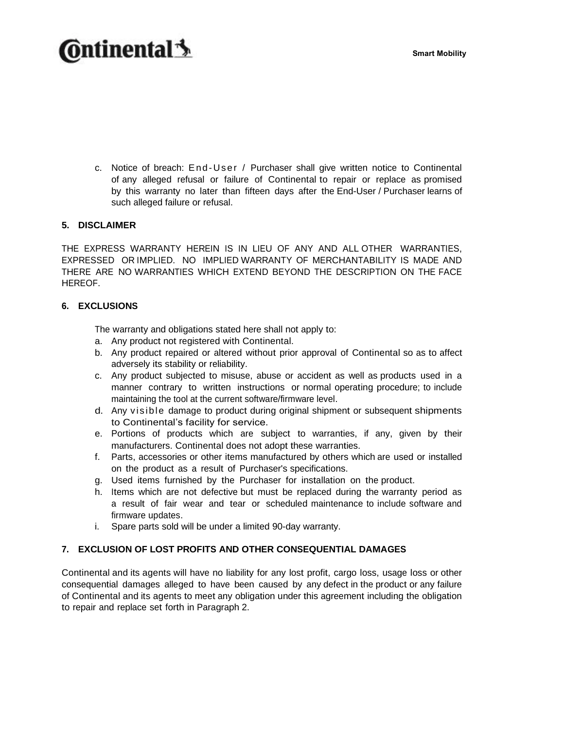## **@ntinental**

c. Notice of breach: E nd -Us er / Purchaser shall give written notice to Continental of any alleged refusal or failure of Continental to repair or replace as promised by this warranty no later than fifteen days after the End-User / Purchaser learns of such alleged failure or refusal.

#### **5. DISCLAIMER**

THE EXPRESS WARRANTY HEREIN IS IN LIEU OF ANY AND ALL OTHER WARRANTIES, EXPRESSED OR IMPLIED. NO IMPLIED WARRANTY OF MERCHANTABILITY IS MADE AND THERE ARE NO WARRANTIES WHICH EXTEND BEYOND THE DESCRIPTION ON THE FACE HEREOF.

#### **6. EXCLUSIONS**

The warranty and obligations stated here shall not apply to:

- a. Any product not registered with Continental.
- b. Any product repaired or altered without prior approval of Continental so as to affect adversely its stability or reliability.
- c. Any product subjected to misuse, abuse or accident as well as products used in a manner contrary to written instructions or normal operating procedure; to include maintaining the tool at the current software/firmware level.
- d. Any visible damage to product during original shipment or subsequent shipments to Continental's facility for service.
- e. Portions of products which are subject to warranties, if any, given by their manufacturers. Continental does not adopt these warranties.
- f. Parts, accessories or other items manufactured by others which are used or installed on the product as a result of Purchaser's specifications.
- g. Used items furnished by the Purchaser for installation on the product.
- h. Items which are not defective but must be replaced during the warranty period as a result of fair wear and tear or scheduled maintenance to include software and firmware updates.
- i. Spare parts sold will be under a limited 90-day warranty.

#### **7. EXCLUSION OF LOST PROFITS AND OTHER CONSEQUENTIAL DAMAGES**

Continental and its agents will have no liability for any lost profit, cargo loss, usage loss or other consequential damages alleged to have been caused by any defect in the product or any failure of Continental and its agents to meet any obligation under this agreement including the obligation to repair and replace set forth in Paragraph 2.